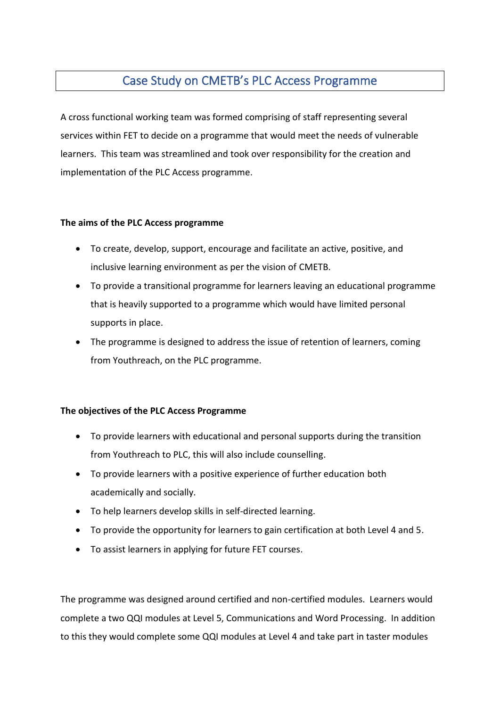## Case Study on CMETB's PLC Access Programme

A cross functional working team was formed comprising of staff representing several services within FET to decide on a programme that would meet the needs of vulnerable learners. This team was streamlined and took over responsibility for the creation and implementation of the PLC Access programme.

## **The aims of the PLC Access programme**

- To create, develop, support, encourage and facilitate an active, positive, and inclusive learning environment as per the vision of CMETB.
- To provide a transitional programme for learners leaving an educational programme that is heavily supported to a programme which would have limited personal supports in place.
- The programme is designed to address the issue of retention of learners, coming from Youthreach, on the PLC programme.

## **The objectives of the PLC Access Programme**

- To provide learners with educational and personal supports during the transition from Youthreach to PLC, this will also include counselling.
- To provide learners with a positive experience of further education both academically and socially.
- To help learners develop skills in self-directed learning.
- To provide the opportunity for learners to gain certification at both Level 4 and 5.
- To assist learners in applying for future FET courses.

The programme was designed around certified and non-certified modules. Learners would complete a two QQI modules at Level 5, Communications and Word Processing. In addition to this they would complete some QQI modules at Level 4 and take part in taster modules